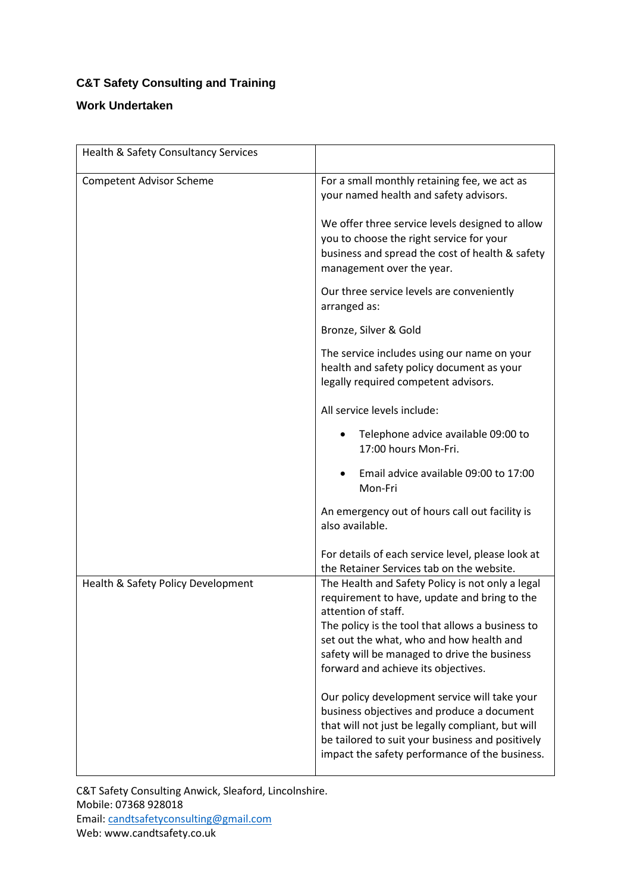## **C&T Safety Consulting and Training**

## **Work Undertaken**

| Health & Safety Consultancy Services |                                                                                                                                                                                                                                                                                                                |
|--------------------------------------|----------------------------------------------------------------------------------------------------------------------------------------------------------------------------------------------------------------------------------------------------------------------------------------------------------------|
| <b>Competent Advisor Scheme</b>      | For a small monthly retaining fee, we act as<br>your named health and safety advisors.                                                                                                                                                                                                                         |
|                                      | We offer three service levels designed to allow<br>you to choose the right service for your<br>business and spread the cost of health & safety<br>management over the year.                                                                                                                                    |
|                                      | Our three service levels are conveniently<br>arranged as:                                                                                                                                                                                                                                                      |
|                                      | Bronze, Silver & Gold                                                                                                                                                                                                                                                                                          |
|                                      | The service includes using our name on your<br>health and safety policy document as your<br>legally required competent advisors.                                                                                                                                                                               |
|                                      | All service levels include:                                                                                                                                                                                                                                                                                    |
|                                      | Telephone advice available 09:00 to<br>17:00 hours Mon-Fri.                                                                                                                                                                                                                                                    |
|                                      | Email advice available 09:00 to 17:00<br>Mon-Fri                                                                                                                                                                                                                                                               |
|                                      | An emergency out of hours call out facility is<br>also available.                                                                                                                                                                                                                                              |
|                                      | For details of each service level, please look at<br>the Retainer Services tab on the website.                                                                                                                                                                                                                 |
| Health & Safety Policy Development   | The Health and Safety Policy is not only a legal<br>requirement to have, update and bring to the<br>attention of staff.<br>The policy is the tool that allows a business to<br>set out the what, who and how health and<br>safety will be managed to drive the business<br>forward and achieve its objectives. |
|                                      | Our policy development service will take your<br>business objectives and produce a document<br>that will not just be legally compliant, but will<br>be tailored to suit your business and positively<br>impact the safety performance of the business.                                                         |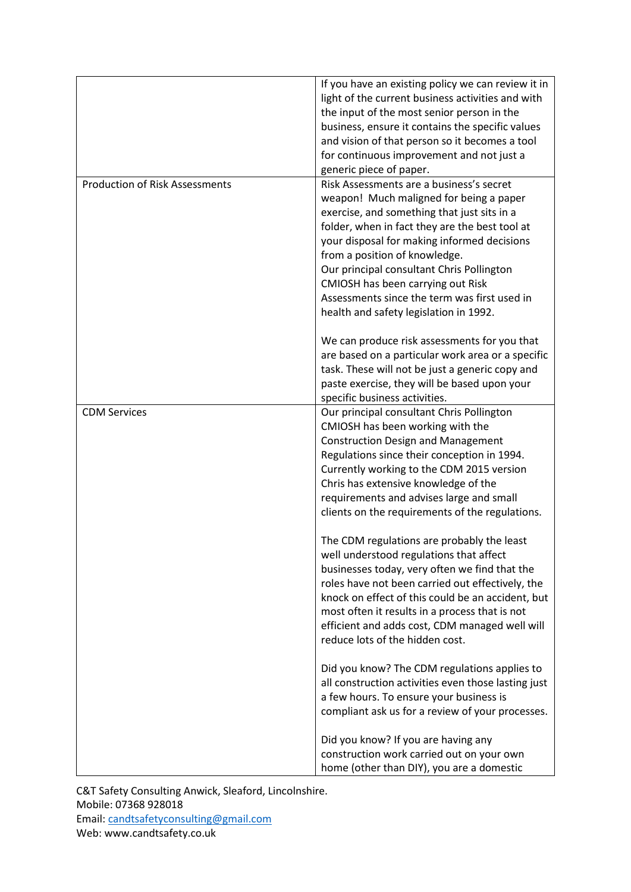| <b>Production of Risk Assessments</b> | If you have an existing policy we can review it in<br>light of the current business activities and with<br>the input of the most senior person in the<br>business, ensure it contains the specific values<br>and vision of that person so it becomes a tool<br>for continuous improvement and not just a<br>generic piece of paper.<br>Risk Assessments are a business's secret                      |
|---------------------------------------|------------------------------------------------------------------------------------------------------------------------------------------------------------------------------------------------------------------------------------------------------------------------------------------------------------------------------------------------------------------------------------------------------|
|                                       | weapon! Much maligned for being a paper<br>exercise, and something that just sits in a<br>folder, when in fact they are the best tool at<br>your disposal for making informed decisions<br>from a position of knowledge.<br>Our principal consultant Chris Pollington<br>CMIOSH has been carrying out Risk<br>Assessments since the term was first used in<br>health and safety legislation in 1992. |
|                                       | We can produce risk assessments for you that<br>are based on a particular work area or a specific<br>task. These will not be just a generic copy and<br>paste exercise, they will be based upon your<br>specific business activities.                                                                                                                                                                |
| <b>CDM Services</b>                   | Our principal consultant Chris Pollington<br>CMIOSH has been working with the<br><b>Construction Design and Management</b><br>Regulations since their conception in 1994.<br>Currently working to the CDM 2015 version<br>Chris has extensive knowledge of the<br>requirements and advises large and small<br>clients on the requirements of the regulations.                                        |
|                                       | The CDM regulations are probably the least<br>well understood regulations that affect<br>businesses today, very often we find that the<br>roles have not been carried out effectively, the<br>knock on effect of this could be an accident, but<br>most often it results in a process that is not<br>efficient and adds cost, CDM managed well will<br>reduce lots of the hidden cost.               |
|                                       | Did you know? The CDM regulations applies to<br>all construction activities even those lasting just<br>a few hours. To ensure your business is<br>compliant ask us for a review of your processes.                                                                                                                                                                                                   |
|                                       | Did you know? If you are having any<br>construction work carried out on your own<br>home (other than DIY), you are a domestic                                                                                                                                                                                                                                                                        |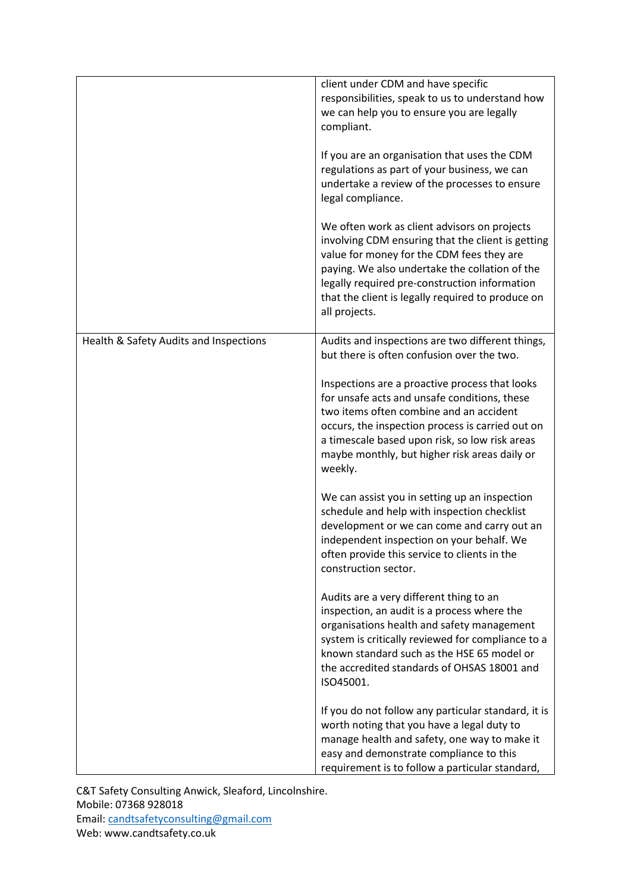|                                        | client under CDM and have specific<br>responsibilities, speak to us to understand how<br>we can help you to ensure you are legally<br>compliant.                                                                                                                                                                        |
|----------------------------------------|-------------------------------------------------------------------------------------------------------------------------------------------------------------------------------------------------------------------------------------------------------------------------------------------------------------------------|
|                                        | If you are an organisation that uses the CDM<br>regulations as part of your business, we can<br>undertake a review of the processes to ensure<br>legal compliance.                                                                                                                                                      |
|                                        | We often work as client advisors on projects<br>involving CDM ensuring that the client is getting<br>value for money for the CDM fees they are<br>paying. We also undertake the collation of the<br>legally required pre-construction information<br>that the client is legally required to produce on<br>all projects. |
| Health & Safety Audits and Inspections | Audits and inspections are two different things,<br>but there is often confusion over the two.                                                                                                                                                                                                                          |
|                                        | Inspections are a proactive process that looks<br>for unsafe acts and unsafe conditions, these<br>two items often combine and an accident<br>occurs, the inspection process is carried out on<br>a timescale based upon risk, so low risk areas<br>maybe monthly, but higher risk areas daily or<br>weekly.             |
|                                        | We can assist you in setting up an inspection<br>schedule and help with inspection checklist<br>development or we can come and carry out an<br>independent inspection on your behalf. We<br>often provide this service to clients in the<br>construction sector.                                                        |
|                                        | Audits are a very different thing to an<br>inspection, an audit is a process where the<br>organisations health and safety management<br>system is critically reviewed for compliance to a<br>known standard such as the HSE 65 model or<br>the accredited standards of OHSAS 18001 and<br>ISO45001.                     |
|                                        | If you do not follow any particular standard, it is<br>worth noting that you have a legal duty to<br>manage health and safety, one way to make it<br>easy and demonstrate compliance to this<br>requirement is to follow a particular standard,                                                                         |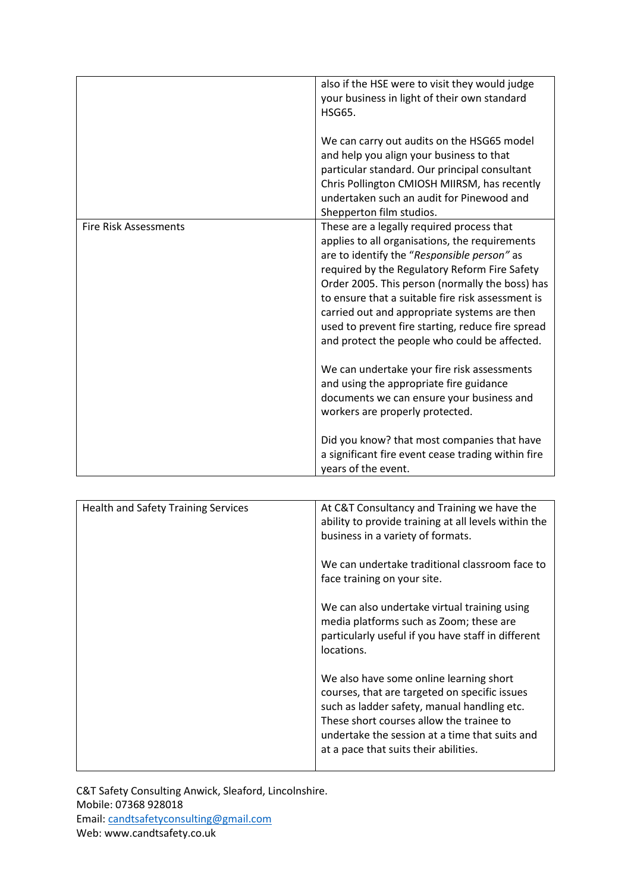|                              | also if the HSE were to visit they would judge<br>your business in light of their own standard<br><b>HSG65.</b><br>We can carry out audits on the HSG65 model<br>and help you align your business to that<br>particular standard. Our principal consultant<br>Chris Pollington CMIOSH MIIRSM, has recently<br>undertaken such an audit for Pinewood and<br>Shepperton film studios.                                                                       |
|------------------------------|-----------------------------------------------------------------------------------------------------------------------------------------------------------------------------------------------------------------------------------------------------------------------------------------------------------------------------------------------------------------------------------------------------------------------------------------------------------|
| <b>Fire Risk Assessments</b> | These are a legally required process that<br>applies to all organisations, the requirements<br>are to identify the "Responsible person" as<br>required by the Regulatory Reform Fire Safety<br>Order 2005. This person (normally the boss) has<br>to ensure that a suitable fire risk assessment is<br>carried out and appropriate systems are then<br>used to prevent fire starting, reduce fire spread<br>and protect the people who could be affected. |
|                              | We can undertake your fire risk assessments<br>and using the appropriate fire guidance<br>documents we can ensure your business and<br>workers are properly protected.<br>Did you know? that most companies that have                                                                                                                                                                                                                                     |
|                              | a significant fire event cease trading within fire<br>years of the event.                                                                                                                                                                                                                                                                                                                                                                                 |

| <b>Health and Safety Training Services</b> | At C&T Consultancy and Training we have the<br>ability to provide training at all levels within the<br>business in a variety of formats.                                                                                                                                       |
|--------------------------------------------|--------------------------------------------------------------------------------------------------------------------------------------------------------------------------------------------------------------------------------------------------------------------------------|
|                                            | We can undertake traditional classroom face to<br>face training on your site.                                                                                                                                                                                                  |
|                                            | We can also undertake virtual training using<br>media platforms such as Zoom; these are<br>particularly useful if you have staff in different<br>locations.                                                                                                                    |
|                                            | We also have some online learning short<br>courses, that are targeted on specific issues<br>such as ladder safety, manual handling etc.<br>These short courses allow the trainee to<br>undertake the session at a time that suits and<br>at a pace that suits their abilities. |